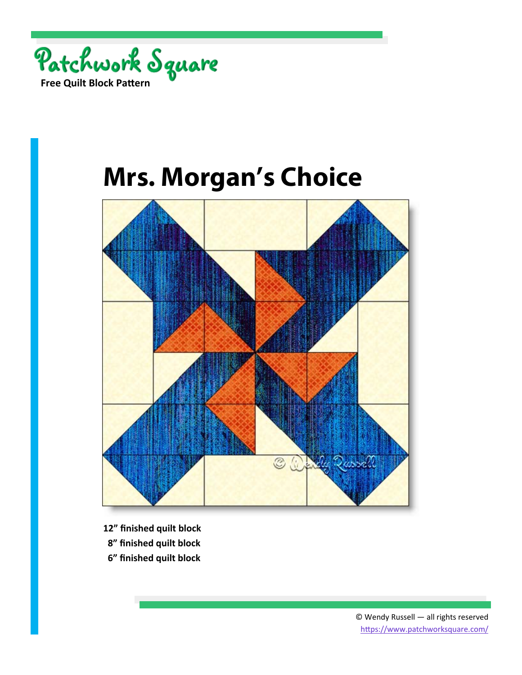

## **Mrs. Morgan's Choice**



- **12" finished quilt block**
- **8" finished quilt block**
- **6" finished quilt block**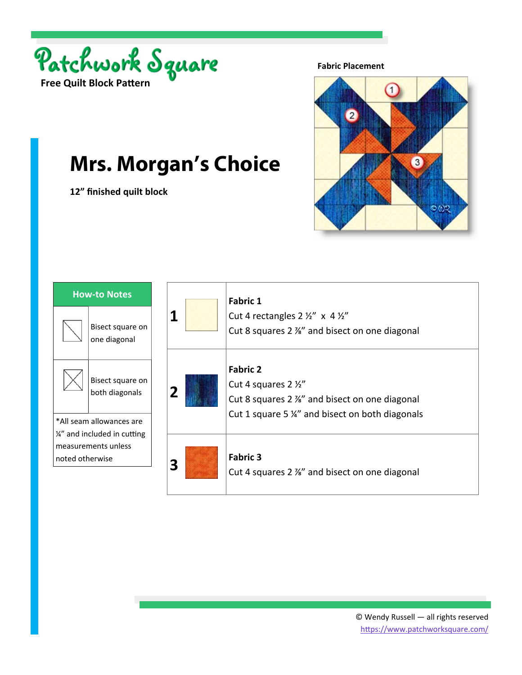

**12" finished quilt block** 

**Mrs. Morgan's Choice**

**Fabric Placement** 



## **1 Fabric 1** Cut 4 rectangles  $2 \frac{1}{2}$ " x 4  $\frac{1}{2}$ " Cut 8 squares 2 ⅞" and bisect on one diagonal **2 Fabric 2** Cut 4 squares 2 ½" Cut 8 squares 2 ⅞" and bisect on one diagonal Cut 1 square 5 ¼" and bisect on both diagonals **3 Fabric 3**<br> **Fabric 3**<br>
Cut 4 squares 2 %" and bisect on one diagonal **How‐to Notes**  Bisect square on one diagonal Bisect square on both diagonals \*All seam allowances are  $\frac{1}{4}$  and included in cutting measurements unless noted otherwise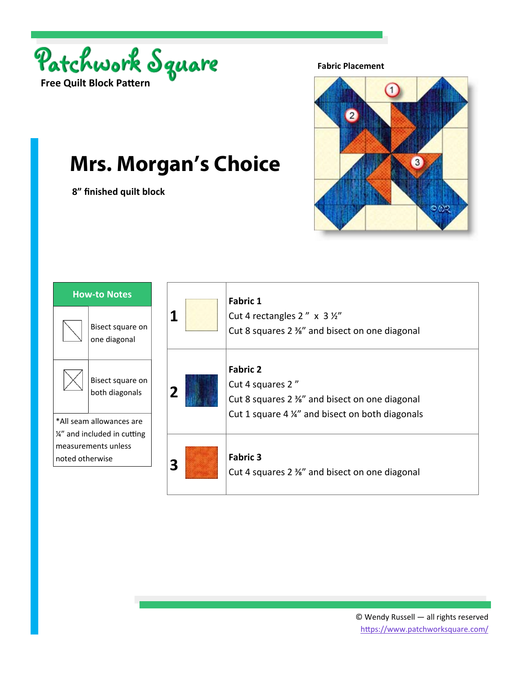

 **8" finished quilt block** 

**Mrs. Morgan's Choice**

**Fabric Placement** 



## **1 Fabric 1** Cut 4 rectangles  $2'' \times 3\frac{1}{2}$ Cut 8 squares 2 ⅜" and bisect on one diagonal **2 Fabric 2** Cut 4 squares 2 " Cut 8 squares 2 ⅜" and bisect on one diagonal Cut 1 square 4 ¼" and bisect on both diagonals **3 Fabric 3**<br>**Fabric 3**<br>Cut 4 squares 2 ¾" and bisect on one diagonal **How‐to Notes**  Bisect square on one diagonal Bisect square on both diagonals \*All seam allowances are  $\frac{1}{4}$  and included in cutting measurements unless noted otherwise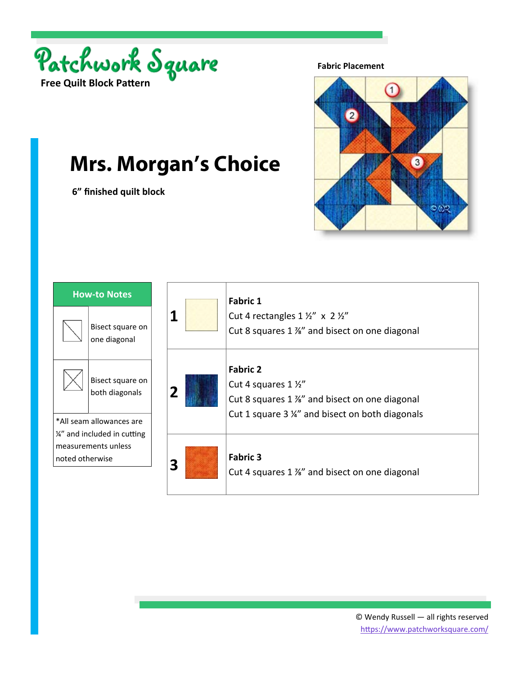

 **6" finished quilt block** 

**Mrs. Morgan's Choice**

**Fabric Placement** 



## **1 Fabric 1** Cut 4 rectangles  $1 \frac{1}{2}$ " x  $2 \frac{1}{2}$ " Cut 8 squares 1 ⅞" and bisect on one diagonal **2 Fabric 2** Cut 4 squares 1 ½" Cut 8 squares 1 ⅞" and bisect on one diagonal Cut 1 square 3 ¼" and bisect on both diagonals **3 Fabric 3**<br> **Fabric 3**<br>
Cut 4 squares 1 <sup>%</sup> and bisect on one diagonal **How‐to Notes**  Bisect square on one diagonal Bisect square on both diagonals \*All seam allowances are  $\frac{1}{4}$  and included in cutting measurements unless noted otherwise